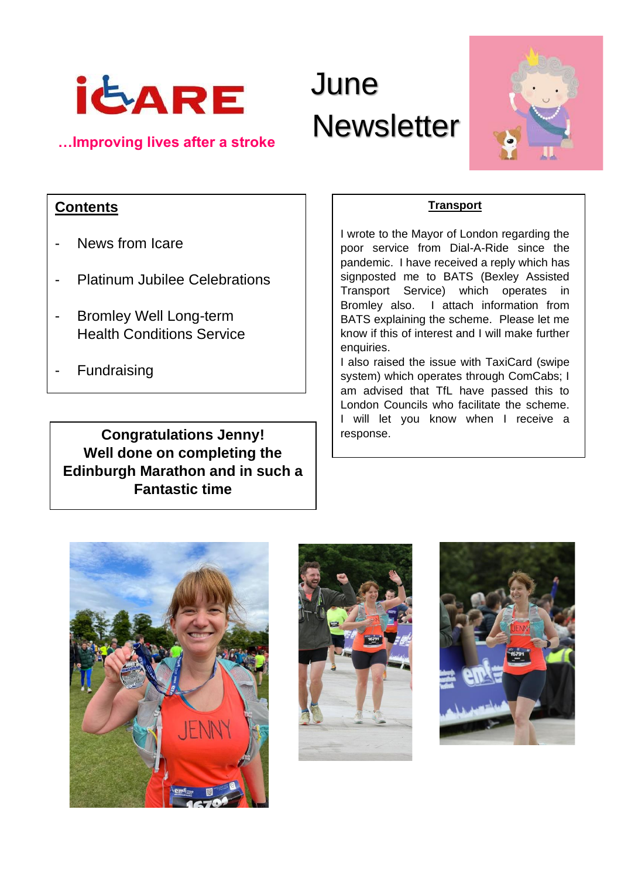

# June ide<sub>ARE</sub> June<br>
<u>…Improving lives after a stroke</u> Newsletter



# **Contents**

- News from Icare
- Platinum Jubilee Celebrations
- **Bromley Well Long-term** Health Conditions Service
- **Fundraising**

**Congratulations Jenny!** | response. **Well done on completing the Edinburgh Marathon and in such a Fantastic time**

### **Transport**

I wrote to the Mayor of London regarding the poor service from Dial-A-Ride since the pandemic. I have received a reply which has signposted me to BATS (Bexley Assisted Transport Service) which operates in Bromley also. I attach information from BATS explaining the scheme. Please let me know if this of interest and I will make further enquiries.

I also raised the issue with TaxiCard (swipe system) which operates through ComCabs; I am advised that TfL have passed this to London Councils who facilitate the scheme. I will let you know when I receive a